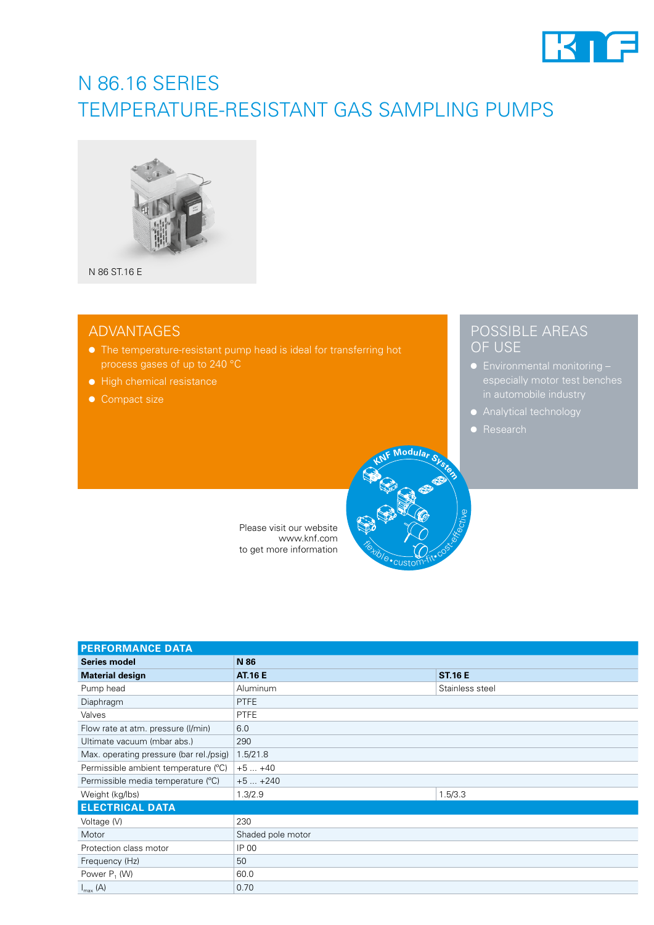

# N 86.16 SERIES TEMPERATURE-RESISTANT GAS SAMPLING PUMPS



### ADVANTAGES

- The temperature-resistant pump head is ideal for transferring hot process gases of up to 240 °C
- High chemical resistance
- Compact size

### POSSIBLE AREAS OF USE

- especially motor test benches
- Analytical technology
- Research

Please visit our website www.knf.com to get more information

| <b>PERFORMANCE DATA</b>                 |                   |                 |  |  |
|-----------------------------------------|-------------------|-----------------|--|--|
| <b>Series model</b>                     | N 86              |                 |  |  |
| <b>Material design</b>                  | <b>AT.16 E</b>    | <b>ST.16 E</b>  |  |  |
| Pump head                               | Aluminum          | Stainless steel |  |  |
| Diaphragm                               | <b>PTFE</b>       |                 |  |  |
| Valves                                  | <b>PTFE</b>       |                 |  |  |
| Flow rate at atm. pressure (I/min)      | 6.0               |                 |  |  |
| Ultimate vacuum (mbar abs.)             | 290               |                 |  |  |
| Max. operating pressure (bar rel./psig) | 1.5/21.8          |                 |  |  |
| Permissible ambient temperature (°C)    | $+5+40$           |                 |  |  |
| Permissible media temperature (°C)      | $+5+240$          |                 |  |  |
| Weight (kg/lbs)                         | 1.3/2.9           | 1.5/3.3         |  |  |
| <b>ELECTRICAL DATA</b>                  |                   |                 |  |  |
| Voltage (V)                             | 230               |                 |  |  |
| Motor                                   | Shaded pole motor |                 |  |  |
| Protection class motor                  | IP 00             |                 |  |  |
| Frequency (Hz)                          | 50                |                 |  |  |
| Power P <sub>1</sub> (W)                | 60.0              |                 |  |  |
| $I_{\text{max}}(A)$                     | 0.70              |                 |  |  |

**Flexible** 

custom-fit• cost-effective

**<sup>K</sup>N<sup>F</sup> <sup>M</sup>odula<sup>r</sup> <sup>S</sup>yste<sup>m</sup>**